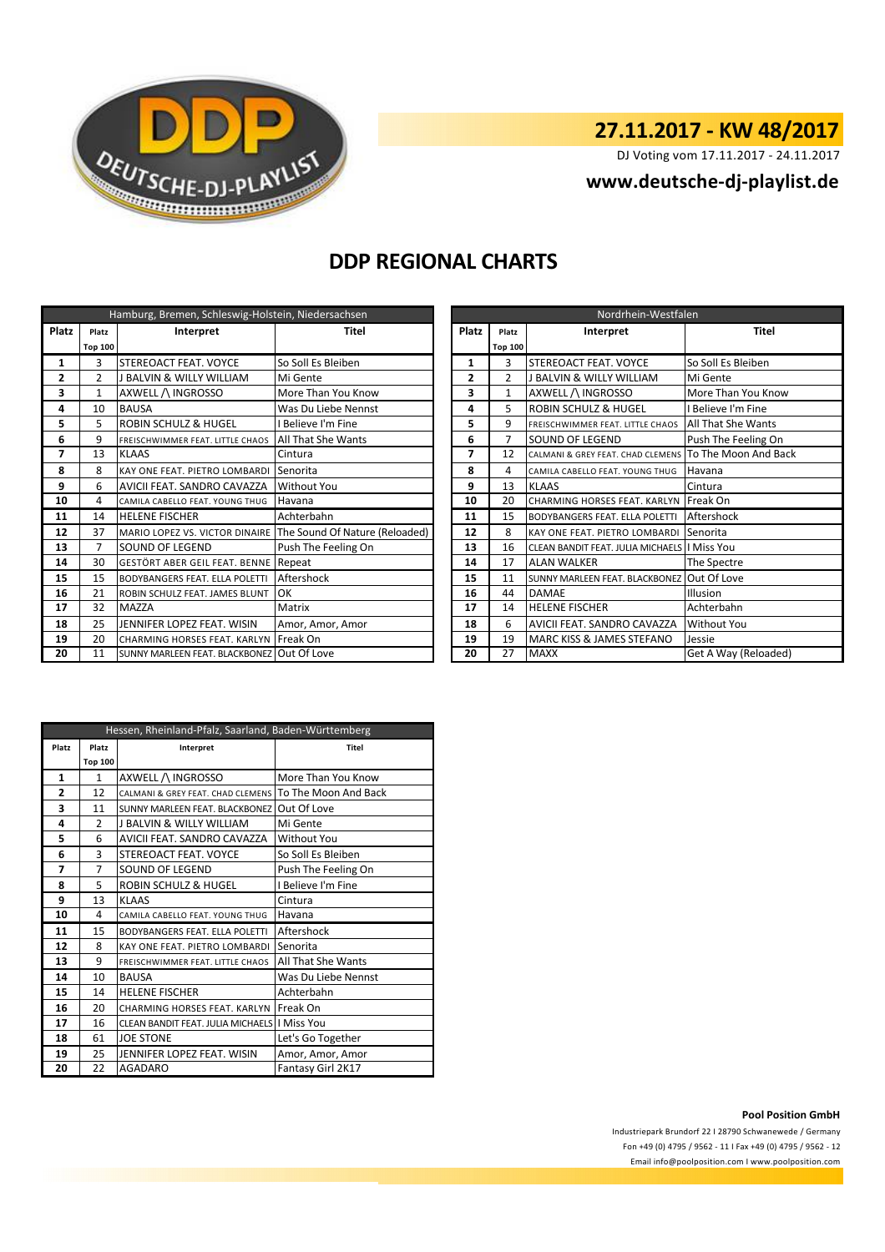

# **27.11.2017 - KW 48/2017**

DJ Voting vom 17.11.2017 - 24.11.2017

### **<www.deutsche-dj-playlist.de>**

## **DDP REGIONAL CHARTS**

| Hamburg, Bremen, Schleswig-Holstein, Niedersachsen |                |                                            |                                |              | Nordrhein-Westfalen |                |                                                        |                      |
|----------------------------------------------------|----------------|--------------------------------------------|--------------------------------|--------------|---------------------|----------------|--------------------------------------------------------|----------------------|
| <b>Platz</b>                                       | Platz          | Interpret                                  | <b>Titel</b>                   | <b>Platz</b> |                     | Platz          | Interpret                                              | <b>Titel</b>         |
|                                                    | <b>Top 100</b> |                                            |                                |              |                     | <b>Top 100</b> |                                                        |                      |
| 1                                                  | 3              | STEREOACT FEAT. VOYCE                      | So Soll Es Bleiben             |              | 1                   | 3              | STEREOACT FEAT. VOYCE                                  | So Soll Es Bleiben   |
| 2                                                  | $\overline{2}$ | <b>J BALVIN &amp; WILLY WILLIAM</b>        | Mi Gente                       |              | 2                   | $\overline{2}$ | <b>BALVIN &amp; WILLY WILLIAM</b>                      | Mi Gente             |
| 3                                                  |                | AXWELL / INGROSSO                          | More Than You Know             |              | 3                   | $\mathbf{1}$   | AXWELL /\ INGROSSO                                     | More Than You Know   |
| 4                                                  | 10             | <b>BAUSA</b>                               | Was Du Liebe Nennst            |              | 4                   | 5              | <b>ROBIN SCHULZ &amp; HUGEL</b>                        | I Believe I'm Fine   |
| 5                                                  | 5              | <b>ROBIN SCHULZ &amp; HUGEL</b>            | Believe I'm Fine               |              | 5                   | 9              | FREISCHWIMMER FEAT. LITTLE CHAOS                       | All That She Wants   |
| 6                                                  | 9              | FREISCHWIMMER FEAT. LITTLE CHAOS           | All That She Wants             |              | 6                   | 7              | SOUND OF LEGEND                                        | Push The Feeling On  |
| 7                                                  | 13             | <b>KLAAS</b>                               | Cintura                        |              | 7                   | 12             | CALMANI & GREY FEAT. CHAD CLEMENS TO The Moon And Back |                      |
| 8                                                  | 8              | KAY ONE FEAT. PIETRO LOMBARDI              | Senorita                       |              | 8                   | 4              | CAMILA CABELLO FEAT. YOUNG THUG                        | Havana               |
| 9                                                  | 6              | AVICII FEAT. SANDRO CAVAZZA                | <b>Without You</b>             |              | 9                   | 13             | <b>KLAAS</b>                                           | Cintura              |
| 10                                                 | 4              | CAMILA CABELLO FEAT. YOUNG THUG            | Havana                         |              | 10                  | 20             | CHARMING HORSES FEAT. KARLYN Freak On                  |                      |
| 11                                                 | 14             | <b>HELENE FISCHER</b>                      | Achterbahn                     |              | 11                  | 15             | <b>BODYBANGERS FEAT. ELLA POLETTI</b>                  | Aftershock           |
| 12                                                 | 37             | MARIO LOPEZ VS. VICTOR DINAIRE             | The Sound Of Nature (Reloaded) |              | 12                  | 8              | <b>KAY ONE FEAT. PIETRO LOMBARDI</b>                   | Senorita             |
| 13                                                 |                | <b>SOUND OF LEGEND</b>                     | Push The Feeling On            |              | 13                  | 16             | CLEAN BANDIT FEAT. JULIA MICHAELS   Miss You           |                      |
| 14                                                 | 30             | GESTÖRT ABER GEIL FEAT. BENNE Repeat       |                                |              | 14                  | 17             | <b>ALAN WALKER</b>                                     | The Spectre          |
| 15                                                 | 15             | <b>BODYBANGERS FEAT. ELLA POLETTI</b>      | Aftershock                     |              | 15                  | 11             | SUNNY MARLEEN FEAT. BLACKBONEZ Out Of Love             |                      |
| 16                                                 | 21             | ROBIN SCHULZ FEAT. JAMES BLUNT             | OK                             |              | 16                  | 44             | DAMAE                                                  | Illusion             |
| 17                                                 | 32             | <b>MAZZA</b>                               | Matrix                         |              | 17                  | 14             | <b>HELENE FISCHER</b>                                  | Achterbahn           |
| 18                                                 | 25             | JENNIFER LOPEZ FEAT. WISIN                 | Amor, Amor, Amor               |              | 18                  | 6              | AVICII FEAT. SANDRO CAVAZZA                            | Without You          |
| 19                                                 | 20             | <b>CHARMING HORSES FEAT, KARLYN</b>        | Freak On                       |              | 19                  | 19             | MARC KISS & JAMES STEFANO                              | Jessie               |
| 20                                                 | 11             | SUNNY MARLEEN FEAT. BLACKBONEZ Out Of Love |                                |              | 20                  | 27             | <b>MAXX</b>                                            | Get A Way (Reloaded) |

| Nordrhein-Westfalen |                    |                                              |                      |  |  |  |
|---------------------|--------------------|----------------------------------------------|----------------------|--|--|--|
| <b>Platz</b>        | Interpret<br>Platz |                                              | <b>Titel</b>         |  |  |  |
|                     | <b>Top 100</b>     |                                              |                      |  |  |  |
| 1                   | 3                  | STEREOACT FEAT. VOYCE                        | So Soll Es Bleiben   |  |  |  |
| 2                   | $\mathfrak{p}$     | <b>J BALVIN &amp; WILLY WILLIAM</b>          | Mi Gente             |  |  |  |
| 3                   | $\mathbf{1}$       | AXWELL /\ INGROSSO                           | More Than You Know   |  |  |  |
| 4                   | 5                  | ROBIN SCHULZ & HUGEL                         | I Believe I'm Fine   |  |  |  |
| 5                   | 9                  | FREISCHWIMMER FEAT. LITTLE CHAOS             | All That She Wants   |  |  |  |
| 6                   | 7                  | SOUND OF LEGEND                              | Push The Feeling On  |  |  |  |
| 7                   | 12                 | CALMANI & GREY FEAT. CHAD CLEMENS            | To The Moon And Back |  |  |  |
| 8                   | 4                  | CAMILA CABELLO FEAT, YOUNG THUG              | Havana               |  |  |  |
| 9                   | 13                 | <b>KLAAS</b>                                 | Cintura              |  |  |  |
| 10                  | 20                 | CHARMING HORSES FEAT. KARLYN                 | Freak On             |  |  |  |
| 11                  | 15                 | <b>BODYBANGERS FEAT. ELLA POLETTI</b>        | Aftershock           |  |  |  |
| 12                  | 8                  | KAY ONE FEAT. PIETRO LOMBARDI                | Senorita             |  |  |  |
| 13                  | 16                 | CLEAN BANDIT FEAT. JULIA MICHAELS   Miss You |                      |  |  |  |
| 14                  | 17                 | <b>ALAN WALKER</b>                           | The Spectre          |  |  |  |
| 15                  | 11                 | SUNNY MARLEEN FEAT. BLACKBONEZ               | Out Of Love          |  |  |  |
| 16                  | 44                 | <b>DAMAE</b>                                 | Illusion             |  |  |  |
| 17                  | 14                 | <b>HELENE FISCHER</b>                        | Achterbahn           |  |  |  |
| 18                  | 6                  | AVICII FEAT. SANDRO CAVAZZA                  | Without You          |  |  |  |
| 19                  | 19                 | MARC KISS & JAMES STEFANO                    | Jessie               |  |  |  |
| 20                  | 27                 | <b>MAXX</b>                                  | Get A Way (Reloaded) |  |  |  |

| Hessen, Rheinland-Pfalz, Saarland, Baden-Württemberg |                |                                               |                           |  |  |  |
|------------------------------------------------------|----------------|-----------------------------------------------|---------------------------|--|--|--|
| Platz                                                | Platz          | Interpret                                     | <b>Titel</b>              |  |  |  |
|                                                      | <b>Top 100</b> |                                               |                           |  |  |  |
| $\mathbf{1}$                                         | $\mathbf{1}$   | AXWELL / INGROSSO                             | More Than You Know        |  |  |  |
| 2                                                    | 12             | CALMANI & GREY FEAT. CHAD CLEMENS             | To The Moon And Back      |  |  |  |
| 3                                                    | 11             | SUNNY MARLEEN FEAT. BLACKBONEZ                | Out Of Love               |  |  |  |
| 4                                                    | $\mathfrak z$  | <b>J BALVIN &amp; WILLY WILLIAM</b>           | Mi Gente                  |  |  |  |
| 5                                                    | 6              | AVICII FEAT, SANDRO CAVAZZA                   | <b>Without You</b>        |  |  |  |
| 6                                                    | 3              | STEREOACT FEAT, VOYCE                         | So Soll Es Bleiben        |  |  |  |
| 7                                                    | 7              | SOUND OF LEGEND                               | Push The Feeling On       |  |  |  |
| 8                                                    | 5              | <b>ROBIN SCHULZ &amp; HUGEL</b>               | I Believe I'm Fine        |  |  |  |
| 9                                                    | 13             | <b>KLAAS</b>                                  | Cintura                   |  |  |  |
| 10                                                   | 4              | CAMILA CABELLO FEAT, YOUNG THUG               | Havana                    |  |  |  |
| 11                                                   | 15             | <b>BODYBANGERS FEAT. ELLA POLETTI</b>         | Aftershock                |  |  |  |
| 12                                                   | 8              | KAY ONE FEAT. PIETRO LOMBARDI                 | Senorita                  |  |  |  |
| 13                                                   | 9              | FREISCHWIMMER FEAT. LITTLE CHAOS              | <b>All That She Wants</b> |  |  |  |
| 14                                                   | 10             | <b>BAUSA</b>                                  | Was Du Liebe Nennst       |  |  |  |
| 15                                                   | 14             | <b>HELENE FISCHER</b>                         | Achterbahn                |  |  |  |
| 16                                                   | 20             | CHARMING HORSES FEAT, KARLYN Freak On         |                           |  |  |  |
| 17                                                   | 16             | CLEAN BANDIT FEAT. JULIA MICHAELS II Miss You |                           |  |  |  |
| 18                                                   | 61             | <b>JOE STONE</b>                              | Let's Go Together         |  |  |  |
| 19                                                   | 25             | JENNIFER LOPEZ FEAT. WISIN                    | Amor, Amor, Amor          |  |  |  |
| 20                                                   | 22             | <b>AGADARO</b>                                | Fantasy Girl 2K17         |  |  |  |

### **Pool Position GmbH**

Industriepark Brundorf 22 I 28790 Schwanewede / Germany Fon +49 (0) 4795 / 9562 - 11 I Fax +49 (0) 4795 / 9562 - 12 <Email info@poolposition.com I www.poolposition.com>